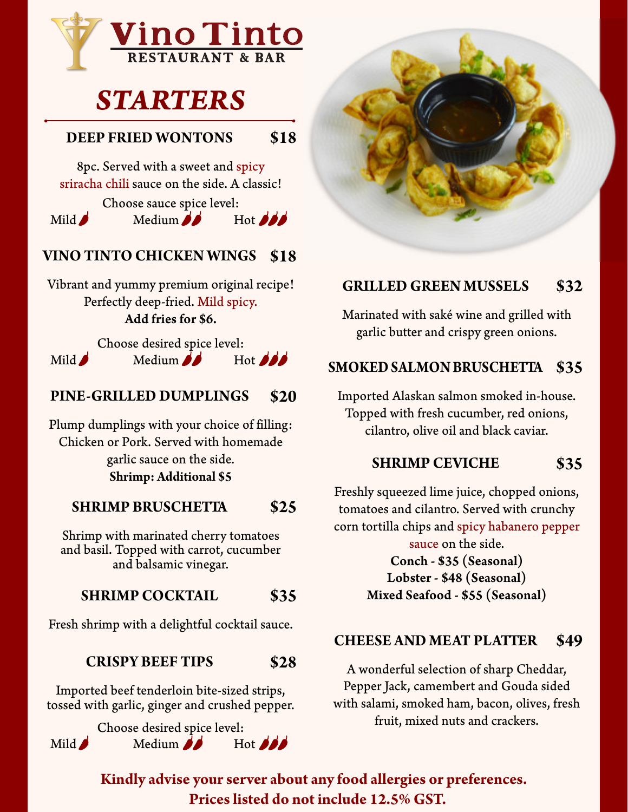

# *STARTERS*

## **DEEP FRIED WONTONS \$18**

8pc. Served with a sweet and spicy sriracha chili sauce on the side. A classic!

Choose sauce spice level:<br>Medium Mild $\bigcup$  Medium  $\bigcup$ 

# **VINO TINTO CHICKEN WINGS \$18**

Vibrant and yummy premium original recipe! Perfectly deep-fried. Mild spicy. Add fries for \$6.

Choose desired spice level: Mild  $\bigwedge$  Medium  $\bigwedge$  Hot  $\bigwedge$ 

## **PINE-GRILLED DUMPLINGS \$20**

Plump dumplings with your choice of filling: Chicken or Pork. Served with homemade garlic sauce on the side. **Shrimp: Additional \$5**

## **SHRIMP BRUSCHETTA \$25**

Shrimp with marinated cherry tomatoes and basil. Topped with carrot, cucumber and balsamic vinegar.

## **SHRIMP COCKTAIL \$35**

Fresh shrimp with a delightful cocktail sauce.

## **CRISPY BEEF TIPS \$28**

Imported beef tenderloin bite-sized strips, tossed with garlic, ginger and crushed pepper.

Choose desired spice level:<br>Medium  $\overrightarrow{A}$  Hot  $\overrightarrow{A}$ Mild $\bigcup$  Medium  $\bigcup$ 



## **GRILLED GREEN MUSSELS \$32**

Marinated with saké wine and grilled with garlic butter and crispy green onions.

# **SMOKEDSALMON BRUSCHETTA \$35**

Imported Alaskan salmon smoked in-house. Topped with fresh cucumber, red onions, cilantro, olive oil and black caviar.

## **SHRIMP CEVICHE \$35**

Freshly squeezed lime juice, chopped onions, tomatoes and cilantro. Served with crunchy corn tortilla chips and spicy habanero pepper

> sauce on the side. Conch - \$35 (Seasonal) Lobster - \$48 (Seasonal) Mixed Seafood - \$55 (Seasonal)

## **CHEESE AND MEAT PLATTER \$49**

A wonderful selection of sharp Cheddar, Pepper Jack, camembert and Gouda sided with salami, smoked ham, bacon, olives, fresh fruit, mixed nuts and crackers.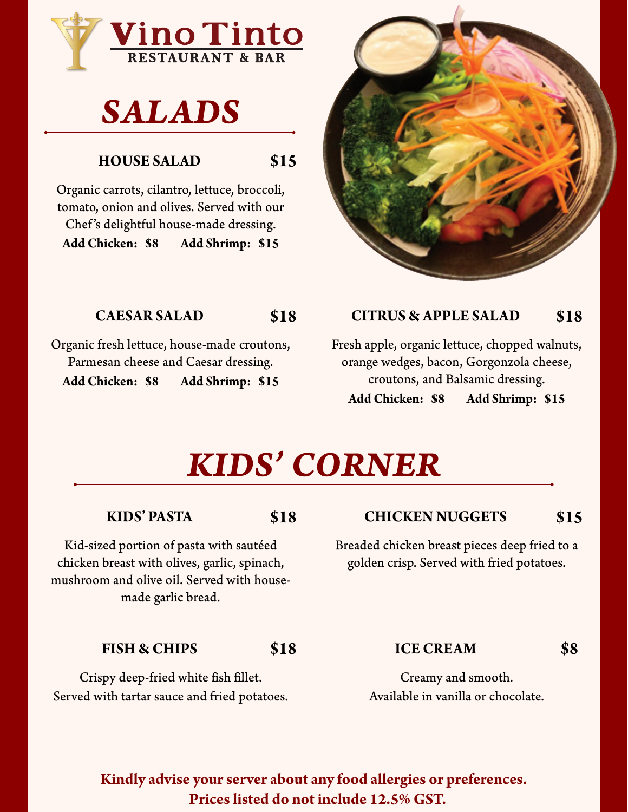

# *SALADS*

# **HOUSE SALAD**

**\$15**

Organic carrots, cilantro, lettuce, broccoli, tomato, onion and olives. Served with our Chef's delightful house-made dressing. **Add Chicken: \$8 Add Shrimp: \$15**

# **CAESAR SALAD**

Organic fresh lettuce, house-made croutons, Parmesan cheese and Caesar dressing. **Add Chicken: \$8 Add Shrimp: \$15**



#### **\$18 CITRUS & APPLE SALAD \$18**

Fresh apple, organic lettuce, chopped walnuts, orange wedges, bacon, Gorgonzola cheese, croutons, and Balsamic dressing. **Add Chicken: \$8 Add Shrimp: \$15**

# *KIDS' CORNER*

# **KIDS' PASTA**

**\$18**

Kid-sized portion of pasta with sautéed chicken breast with olives, garlic, spinach, mushroom and olive oil. Served with housemade garlic bread.

## **FISH & CHIPS**

**\$18**

Crispy deep-fried white fish fillet. Served with tartar sauce and fried potatoes.

#### **CHICKEN NUGGETS \$15**

Breaded chicken breast pieces deep fried to a golden crisp. Served with fried potatoes.

# **ICE CREAM**

**\$8**

Creamy and smooth. Available in vanilla or chocolate.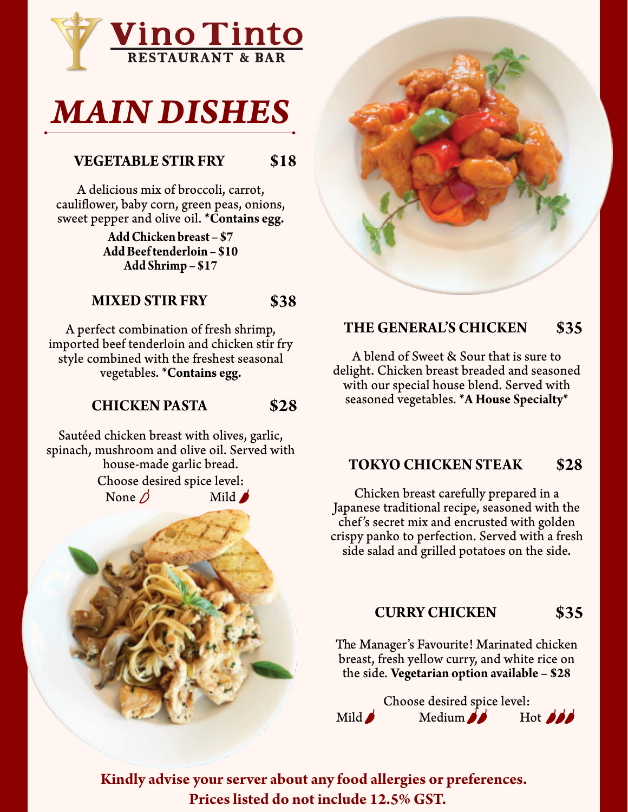

# *MAIN DISHES*

#### **VEGETABLE STIR FRY \$18**

A delicious mix of broccoli, carrot, cauliflower, baby corn, green peas, onions, sweet pepper and olive oil. **\*Contains egg.**

> **AddChicken breast – \$7 AddBeeftenderloin – \$10 Add Shrimp – \$17**

### **MIXED STIR FRY \$38**

A perfect combination of fresh shrimp, imported beef tenderloin and chicken stir fry style combined with the freshest seasonal vegetables. **\*Contains egg.**

#### **CHICKEN PASTA \$28**

Sautéed chicken breast with olives, garlic, spinach, mushroom and olive oil. Served with house-made garlic bread. Choose desired spice level: None  $\triangle$  Mild





### **THE GENERAL'S CHICKEN \$35**

A blend of Sweet & Sour that is sure to delight. Chicken breast breaded and seasoned with our special house blend. Served with seasoned vegetables. **\*A House Specialty\***

#### **TOKYO CHICKEN STEAK \$28**

Chicken breast carefully prepared in a Japanese traditional recipe, seasoned with the chef's secret mix and encrusted with golden crispy panko to perfection. Served with a fresh side salad and grilled potatoes on the side.

# **CURRY CHICKEN**

**\$35**

The Manager's Favourite! Marinated chicken breast, fresh yellow curry, and white rice on the side. **Vegetarian option available – \$28**

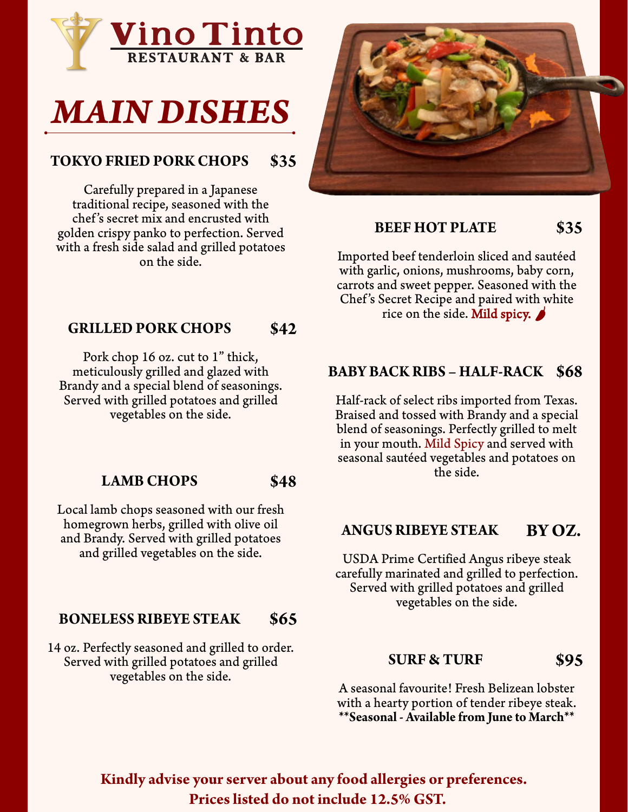



### **TOKYO FRIED PORK CHOPS \$35**

Carefully prepared in a Japanese traditional recipe, seasoned with the chef's secret mix and encrusted with golden crispy panko to perfection. Served with a fresh side salad and grilled potatoes on the side.

#### **GRILLED PORK CHOPS \$42**

Pork chop 16 oz. cut to 1" thick, meticulously grilled and glazed with Brandy and a special blend of seasonings. Served with grilled potatoes and grilled vegetables on the side.

#### **LAMB CHOPS \$48**

Local lamb chops seasoned with our fresh homegrown herbs, grilled with olive oil and Brandy. Served with grilled potatoes and grilled vegetables on the side.

#### **BONELESS RIBEYE STEAK \$65**

14 oz. Perfectly seasoned and grilled to order. Served with grilled potatoes and grilled vegetables on the side.



**BEEF HOT PLATE**

**\$35**

Imported beef tenderloin sliced and sautéed with garlic, onions, mushrooms, baby corn, carrots and sweet pepper. Seasoned with the Chef's Secret Recipe and paired with white rice on the side. Mild spicy.  $\blacktriangleright$ 

# **BABY BACK RIBS – HALF-RACK \$68**

Half-rack of select ribs imported from Texas. Braised and tossed with Brandy and a special blend of seasonings. Perfectly grilled to melt in your mouth. Mild Spicy and served with seasonal sautéed vegetables and potatoes on the side.

#### **ANGUS RIBEYE STEAK BY OZ.**

USDA Prime Certified Angus ribeye steak carefully marinated and grilled to perfection. Served with grilled potatoes and grilled vegetables on the side.

#### **SURF & TURF \$95**

A seasonal favourite! Fresh Belizean lobster with a hearty portion of tender ribeye steak. **\*\*Seasonal - Available from June to March\*\***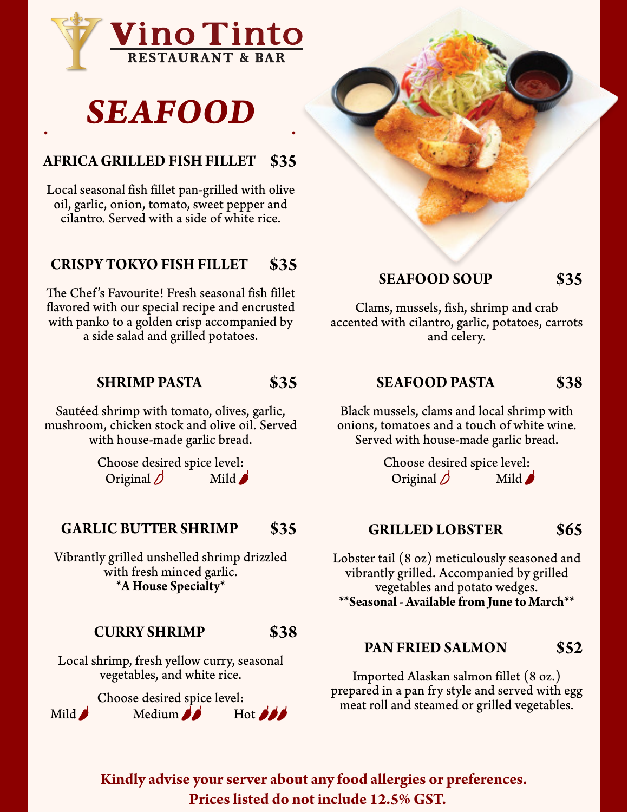

# *SEAFOOD*

# **AFRICA GRILLED FISH FILLET \$35**

Local seasonal fish fillet pan-grilled with olive oil, garlic, onion, tomato, sweet pepper and cilantro. Served with a side of white rice.

### **CRISPY TOKYO FISH FILLET \$35**

The Chef's Favourite! Fresh seasonal fish fillet flavored with our special recipe and encrusted with panko to a golden crisp accompanied by a side salad and grilled potatoes.

#### **SHRIMP PASTA \$35**

Sautéed shrimp with tomato, olives, garlic, mushroom, chicken stock and olive oil. Served with house-made garlic bread.

> Choose desired spice level: Original  $\bigcirc$  Mild

#### **GARLIC BUTTER SHRIMP \$35**

Vibrantly grilled unshelled shrimp drizzled with fresh minced garlic. **\*A House Specialty\***

#### **CURRY SHRIMP \$38**

Local shrimp, fresh yellow curry, seasonal vegetables, and white rice.

Choose desired spice level:<br>Medium  $Mid$  Medium



#### **SEAFOOD SOUP \$35**

Clams, mussels, fish, shrimp and crab accented with cilantro, garlic, potatoes, carrots and celery.

#### **SEAFOOD PASTA \$38**

Black mussels, clams and local shrimp with onions, tomatoes and a touch of white wine. Served with house-made garlic bread.

> Choose desired spice level: Original  $\bigcirc$  Mild

#### **GRILLED LOBSTER \$65**

Lobster tail (8 oz) meticulously seasoned and vibrantly grilled. Accompanied by grilled vegetables and potato wedges. **\*\*Seasonal - Available from June to March\*\***

#### **PAN FRIED SALMON \$52**

Imported Alaskan salmon fillet (8 oz.) prepared in a pan fry style and served with egg meat roll and steamed or grilled vegetables.